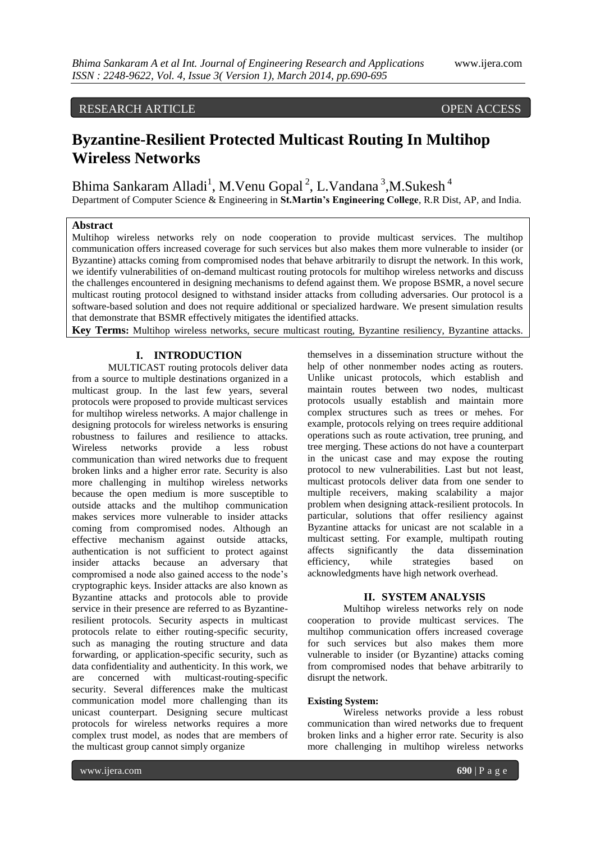# RESEARCH ARTICLE OPEN ACCESS

# **Byzantine-Resilient Protected Multicast Routing In Multihop Wireless Networks**

Bhima Sankaram Alladi<sup>1</sup>, M.Venu Gopal<sup>2</sup>, L.Vandana<sup>3</sup>,M.Sukesh<sup>4</sup>

Department of Computer Science & Engineering in **St.Martin's Engineering College**, R.R Dist, AP, and India.

# **Abstract**

Multihop wireless networks rely on node cooperation to provide multicast services. The multihop communication offers increased coverage for such services but also makes them more vulnerable to insider (or Byzantine) attacks coming from compromised nodes that behave arbitrarily to disrupt the network. In this work, we identify vulnerabilities of on-demand multicast routing protocols for multihop wireless networks and discuss the challenges encountered in designing mechanisms to defend against them. We propose BSMR, a novel secure multicast routing protocol designed to withstand insider attacks from colluding adversaries. Our protocol is a software-based solution and does not require additional or specialized hardware. We present simulation results that demonstrate that BSMR effectively mitigates the identified attacks.

**Key Terms:** Multihop wireless networks, secure multicast routing, Byzantine resiliency, Byzantine attacks.

#### **I. INTRODUCTION**

MULTICAST routing protocols deliver data from a source to multiple destinations organized in a multicast group. In the last few years, several protocols were proposed to provide multicast services for multihop wireless networks. A major challenge in designing protocols for wireless networks is ensuring robustness to failures and resilience to attacks. Wireless networks provide a less robust communication than wired networks due to frequent broken links and a higher error rate. Security is also more challenging in multihop wireless networks because the open medium is more susceptible to outside attacks and the multihop communication makes services more vulnerable to insider attacks coming from compromised nodes. Although an effective mechanism against outside attacks, authentication is not sufficient to protect against insider attacks because an adversary that compromised a node also gained access to the node's cryptographic keys. Insider attacks are also known as Byzantine attacks and protocols able to provide service in their presence are referred to as Byzantineresilient protocols. Security aspects in multicast protocols relate to either routing-specific security, such as managing the routing structure and data forwarding, or application-specific security, such as data confidentiality and authenticity. In this work, we are concerned with multicast-routing-specific security. Several differences make the multicast communication model more challenging than its unicast counterpart. Designing secure multicast protocols for wireless networks requires a more complex trust model, as nodes that are members of the multicast group cannot simply organize

themselves in a dissemination structure without the help of other nonmember nodes acting as routers. Unlike unicast protocols, which establish and maintain routes between two nodes, multicast protocols usually establish and maintain more complex structures such as trees or mehes. For example, protocols relying on trees require additional operations such as route activation, tree pruning, and tree merging. These actions do not have a counterpart in the unicast case and may expose the routing protocol to new vulnerabilities. Last but not least, multicast protocols deliver data from one sender to multiple receivers, making scalability a major problem when designing attack-resilient protocols. In particular, solutions that offer resiliency against Byzantine attacks for unicast are not scalable in a multicast setting. For example, multipath routing<br>affects significantly the data dissemination affects significantly the data dissemination efficiency, while strategies based on acknowledgments have high network overhead.

# **II. SYSTEM ANALYSIS**

Multihop wireless networks rely on node cooperation to provide multicast services. The multihop communication offers increased coverage for such services but also makes them more vulnerable to insider (or Byzantine) attacks coming from compromised nodes that behave arbitrarily to disrupt the network.

#### **Existing System:**

Wireless networks provide a less robust communication than wired networks due to frequent broken links and a higher error rate. Security is also more challenging in multihop wireless networks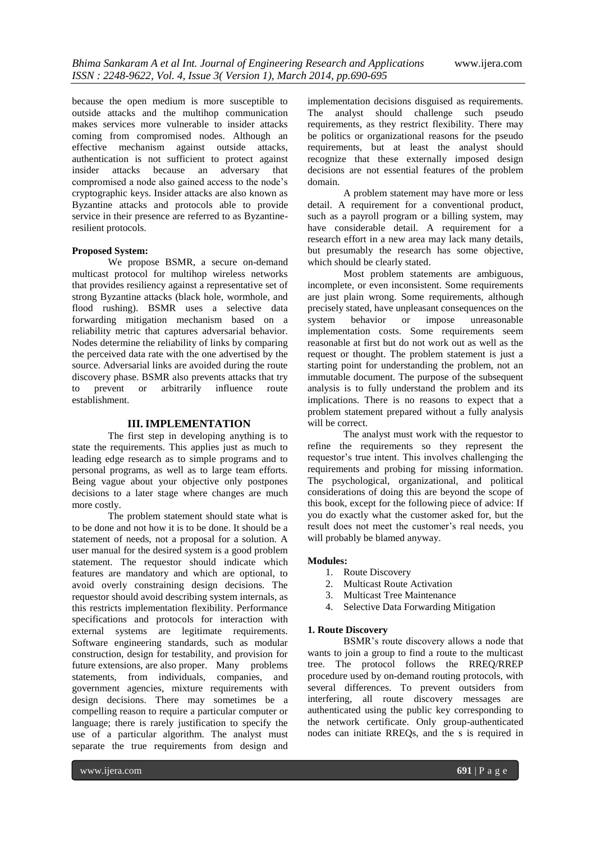because the open medium is more susceptible to outside attacks and the multihop communication makes services more vulnerable to insider attacks coming from compromised nodes. Although an effective mechanism against outside attacks, authentication is not sufficient to protect against insider attacks because an adversary that compromised a node also gained access to the node's cryptographic keys. Insider attacks are also known as Byzantine attacks and protocols able to provide service in their presence are referred to as Byzantineresilient protocols.

## **Proposed System:**

We propose BSMR, a secure on-demand multicast protocol for multihop wireless networks that provides resiliency against a representative set of strong Byzantine attacks (black hole, wormhole, and flood rushing). BSMR uses a selective data forwarding mitigation mechanism based on a reliability metric that captures adversarial behavior. Nodes determine the reliability of links by comparing the perceived data rate with the one advertised by the source. Adversarial links are avoided during the route discovery phase. BSMR also prevents attacks that try to prevent or arbitrarily influence route establishment.

#### **III. IMPLEMENTATION**

The first step in developing anything is to state the requirements. This applies just as much to leading edge research as to simple programs and to personal programs, as well as to large team efforts. Being vague about your objective only postpones decisions to a later stage where changes are much more costly.

The problem statement should state what is to be done and not how it is to be done. It should be a statement of needs, not a proposal for a solution. A user manual for the desired system is a good problem statement. The requestor should indicate which features are mandatory and which are optional, to avoid overly constraining design decisions. The requestor should avoid describing system internals, as this restricts implementation flexibility. Performance specifications and protocols for interaction with external systems are legitimate requirements. Software engineering standards, such as modular construction, design for testability, and provision for future extensions, are also proper. Many problems statements, from individuals, companies, and government agencies, mixture requirements with design decisions. There may sometimes be a compelling reason to require a particular computer or language; there is rarely justification to specify the use of a particular algorithm. The analyst must separate the true requirements from design and

implementation decisions disguised as requirements. The analyst should challenge such pseudo requirements, as they restrict flexibility. There may be politics or organizational reasons for the pseudo requirements, but at least the analyst should recognize that these externally imposed design decisions are not essential features of the problem domain.

A problem statement may have more or less detail. A requirement for a conventional product, such as a payroll program or a billing system, may have considerable detail. A requirement for a research effort in a new area may lack many details, but presumably the research has some objective, which should be clearly stated.

Most problem statements are ambiguous, incomplete, or even inconsistent. Some requirements are just plain wrong. Some requirements, although precisely stated, have unpleasant consequences on the system behavior or impose unreasonable implementation costs. Some requirements seem reasonable at first but do not work out as well as the request or thought. The problem statement is just a starting point for understanding the problem, not an immutable document. The purpose of the subsequent analysis is to fully understand the problem and its implications. There is no reasons to expect that a problem statement prepared without a fully analysis will be correct.

The analyst must work with the requestor to refine the requirements so they represent the requestor's true intent. This involves challenging the requirements and probing for missing information. The psychological, organizational, and political considerations of doing this are beyond the scope of this book, except for the following piece of advice: If you do exactly what the customer asked for, but the result does not meet the customer's real needs, you will probably be blamed anyway.

#### **Modules:**

- 1. Route Discovery
- 2. Multicast Route Activation
- 3. Multicast Tree Maintenance
- 4. Selective Data Forwarding Mitigation

#### **1. Route Discovery**

BSMR's route discovery allows a node that wants to join a group to find a route to the multicast tree. The protocol follows the RREQ/RREP procedure used by on-demand routing protocols, with several differences. To prevent outsiders from interfering, all route discovery messages are authenticated using the public key corresponding to the network certificate. Only group-authenticated nodes can initiate RREQs, and the s is required in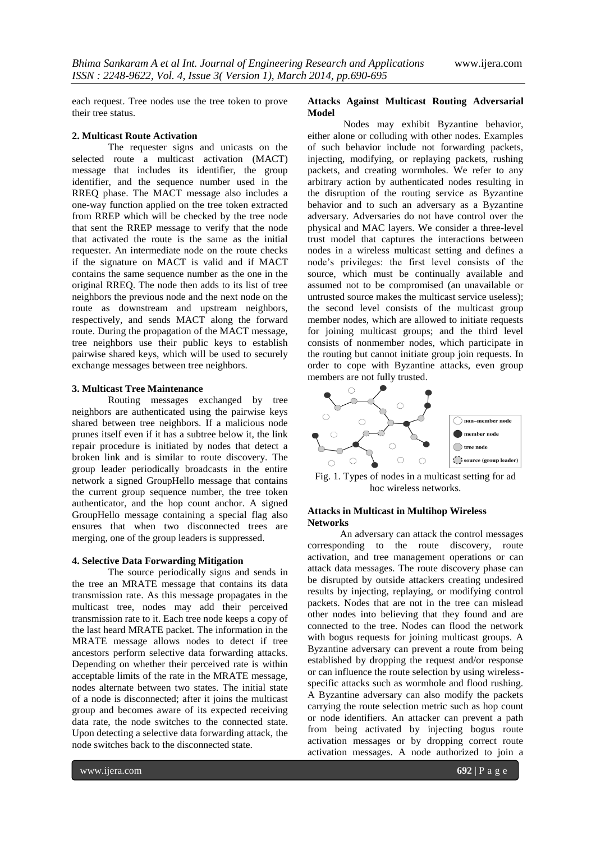each request. Tree nodes use the tree token to prove their tree status.

#### **2. Multicast Route Activation**

The requester signs and unicasts on the selected route a multicast activation (MACT) message that includes its identifier, the group identifier, and the sequence number used in the RREQ phase. The MACT message also includes a one-way function applied on the tree token extracted from RREP which will be checked by the tree node that sent the RREP message to verify that the node that activated the route is the same as the initial requester. An intermediate node on the route checks if the signature on MACT is valid and if MACT contains the same sequence number as the one in the original RREQ. The node then adds to its list of tree neighbors the previous node and the next node on the route as downstream and upstream neighbors, respectively, and sends MACT along the forward route. During the propagation of the MACT message, tree neighbors use their public keys to establish pairwise shared keys, which will be used to securely exchange messages between tree neighbors.

#### **3. Multicast Tree Maintenance**

Routing messages exchanged by tree neighbors are authenticated using the pairwise keys shared between tree neighbors. If a malicious node prunes itself even if it has a subtree below it, the link repair procedure is initiated by nodes that detect a broken link and is similar to route discovery. The group leader periodically broadcasts in the entire network a signed GroupHello message that contains the current group sequence number, the tree token authenticator, and the hop count anchor. A signed GroupHello message containing a special flag also ensures that when two disconnected trees are merging, one of the group leaders is suppressed.

#### **4. Selective Data Forwarding Mitigation**

The source periodically signs and sends in the tree an MRATE message that contains its data transmission rate. As this message propagates in the multicast tree, nodes may add their perceived transmission rate to it. Each tree node keeps a copy of the last heard MRATE packet. The information in the MRATE message allows nodes to detect if tree ancestors perform selective data forwarding attacks. Depending on whether their perceived rate is within acceptable limits of the rate in the MRATE message, nodes alternate between two states. The initial state of a node is disconnected; after it joins the multicast group and becomes aware of its expected receiving data rate, the node switches to the connected state. Upon detecting a selective data forwarding attack, the node switches back to the disconnected state.

#### **Attacks Against Multicast Routing Adversarial Model**

Nodes may exhibit Byzantine behavior, either alone or colluding with other nodes. Examples of such behavior include not forwarding packets, injecting, modifying, or replaying packets, rushing packets, and creating wormholes. We refer to any arbitrary action by authenticated nodes resulting in the disruption of the routing service as Byzantine behavior and to such an adversary as a Byzantine adversary. Adversaries do not have control over the physical and MAC layers. We consider a three-level trust model that captures the interactions between nodes in a wireless multicast setting and defines a node's privileges: the first level consists of the source, which must be continually available and assumed not to be compromised (an unavailable or untrusted source makes the multicast service useless); the second level consists of the multicast group member nodes, which are allowed to initiate requests for joining multicast groups; and the third level consists of nonmember nodes, which participate in the routing but cannot initiate group join requests. In order to cope with Byzantine attacks, even group members are not fully trusted.



Fig. 1. Types of nodes in a multicast setting for ad hoc wireless networks.

#### **Attacks in Multicast in Multihop Wireless Networks**

An adversary can attack the control messages corresponding to the route discovery, route activation, and tree management operations or can attack data messages. The route discovery phase can be disrupted by outside attackers creating undesired results by injecting, replaying, or modifying control packets. Nodes that are not in the tree can mislead other nodes into believing that they found and are connected to the tree. Nodes can flood the network with bogus requests for joining multicast groups. A Byzantine adversary can prevent a route from being established by dropping the request and/or response or can influence the route selection by using wirelessspecific attacks such as wormhole and flood rushing. A Byzantine adversary can also modify the packets carrying the route selection metric such as hop count or node identifiers. An attacker can prevent a path from being activated by injecting bogus route activation messages or by dropping correct route activation messages. A node authorized to join a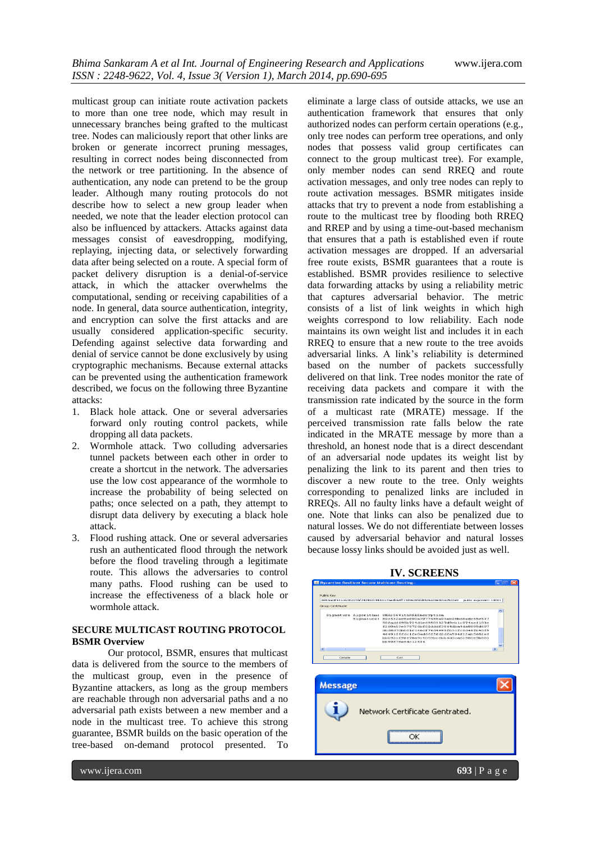multicast group can initiate route activation packets to more than one tree node, which may result in unnecessary branches being grafted to the multicast tree. Nodes can maliciously report that other links are broken or generate incorrect pruning messages, resulting in correct nodes being disconnected from the network or tree partitioning. In the absence of authentication, any node can pretend to be the group leader. Although many routing protocols do not describe how to select a new group leader when needed, we note that the leader election protocol can also be influenced by attackers. Attacks against data messages consist of eavesdropping, modifying, replaying, injecting data, or selectively forwarding data after being selected on a route. A special form of packet delivery disruption is a denial-of-service attack, in which the attacker overwhelms the computational, sending or receiving capabilities of a node. In general, data source authentication, integrity, and encryption can solve the first attacks and are usually considered application-specific security. Defending against selective data forwarding and denial of service cannot be done exclusively by using cryptographic mechanisms. Because external attacks can be prevented using the authentication framework described, we focus on the following three Byzantine attacks:

- 1. Black hole attack. One or several adversaries forward only routing control packets, while dropping all data packets.
- 2. Wormhole attack. Two colluding adversaries tunnel packets between each other in order to create a shortcut in the network. The adversaries use the low cost appearance of the wormhole to increase the probability of being selected on paths; once selected on a path, they attempt to disrupt data delivery by executing a black hole attack.
- 3. Flood rushing attack. One or several adversaries rush an authenticated flood through the network before the flood traveling through a legitimate route. This allows the adversaries to control many paths. Flood rushing can be used to increase the effectiveness of a black hole or wormhole attack.

# **SECURE MULTICAST ROUTING PROTOCOL BSMR Overview**

Our protocol, BSMR, ensures that multicast data is delivered from the source to the members of the multicast group, even in the presence of Byzantine attackers, as long as the group members are reachable through non adversarial paths and a no adversarial path exists between a new member and a node in the multicast tree. To achieve this strong guarantee, BSMR builds on the basic operation of the tree-based on-demand protocol presented. To

eliminate a large class of outside attacks, we use an authentication framework that ensures that only authorized nodes can perform certain operations (e.g., only tree nodes can perform tree operations, and only nodes that possess valid group certificates can connect to the group multicast tree). For example, only member nodes can send RREQ and route activation messages, and only tree nodes can reply to route activation messages. BSMR mitigates inside attacks that try to prevent a node from establishing a route to the multicast tree by flooding both RREQ and RREP and by using a time-out-based mechanism that ensures that a path is established even if route activation messages are dropped. If an adversarial free route exists, BSMR guarantees that a route is established. BSMR provides resilience to selective data forwarding attacks by using a reliability metric that captures adversarial behavior. The metric consists of a list of link weights in which high weights correspond to low reliability. Each node maintains its own weight list and includes it in each RREQ to ensure that a new route to the tree avoids adversarial links. A link's reliability is determined based on the number of packets successfully delivered on that link. Tree nodes monitor the rate of receiving data packets and compare it with the transmission rate indicated by the source in the form of a multicast rate (MRATE) message. If the perceived transmission rate falls below the rate indicated in the MRATE message by more than a threshold, an honest node that is a direct descendant of an adversarial node updates its weight list by penalizing the link to its parent and then tries to discover a new route to the tree. Only weights corresponding to penalized links are included in RREQs. All no faulty links have a default weight of one. Note that links can also be penalized due to natural losses. We do not differentiate between losses caused by adversarial behavior and natural losses because lossy links should be avoided just as well.

# **IV. SCREENS**

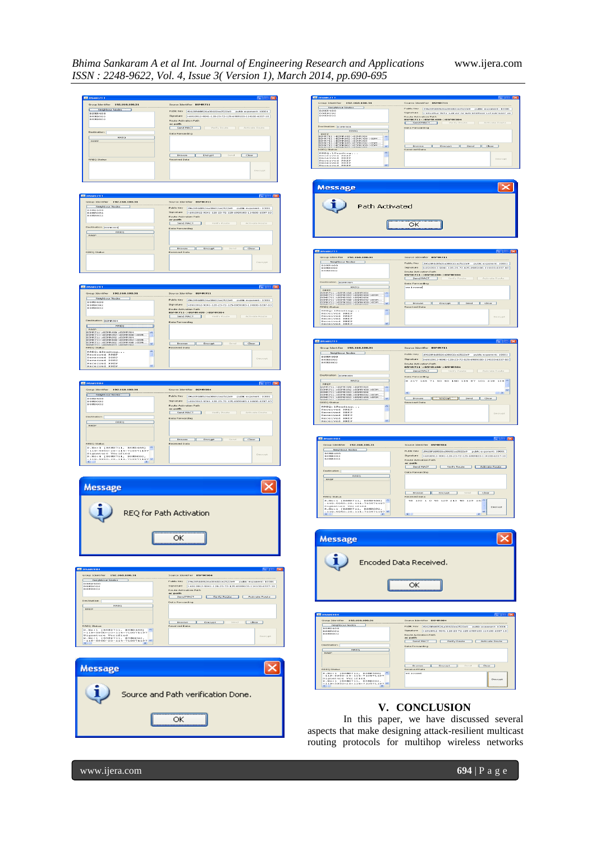# *Bhima Sankaram A et al Int. Journal of Engineering Research and Applications* www.ijera.com *ISSN : 2248-9622, Vol. 4, Issue 3( Version 1), March 2014, pp.690-695*